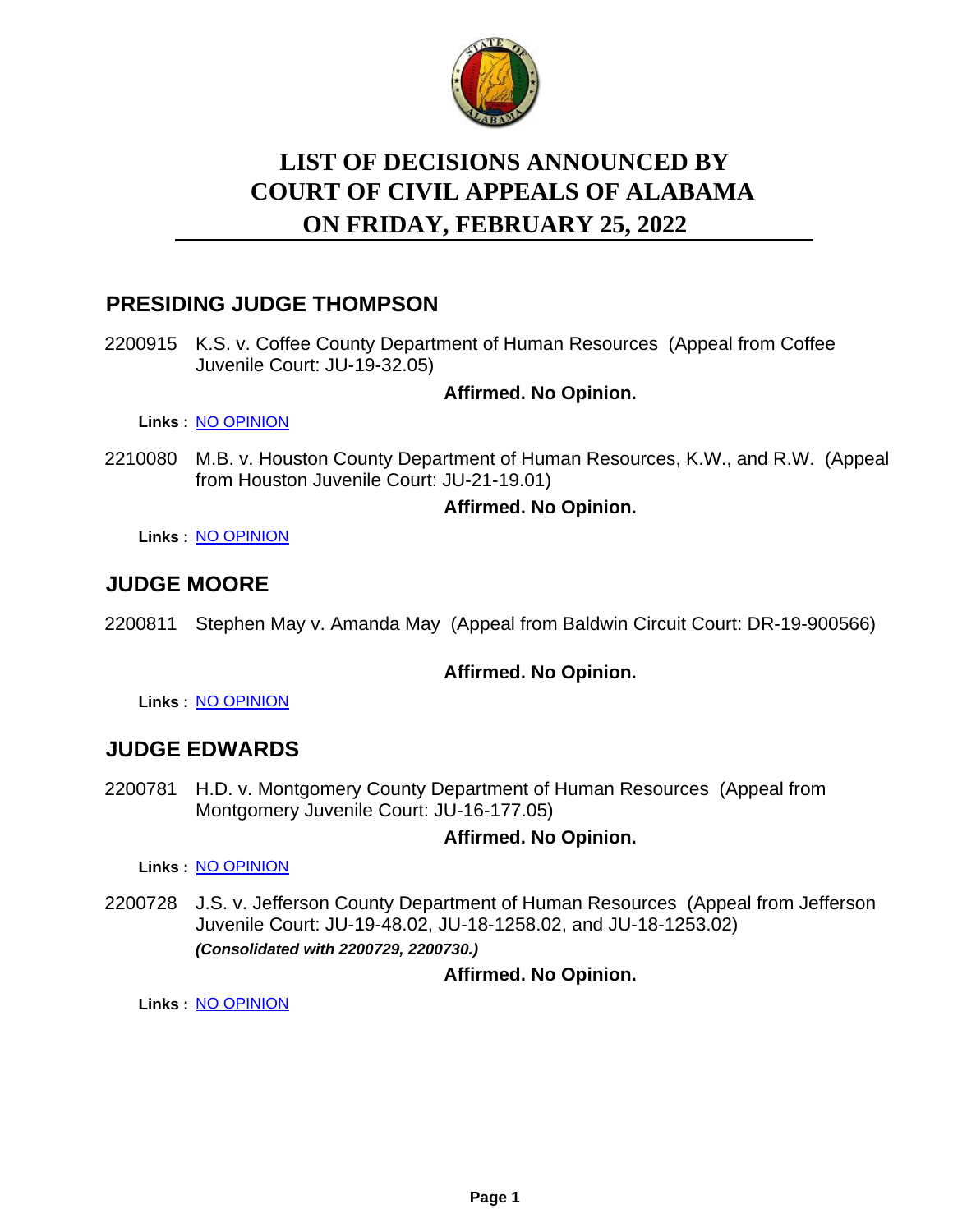

# **LIST OF DECISIONS ANNOUNCED BY ON FRIDAY, FEBRUARY 25, 2022 COURT OF CIVIL APPEALS OF ALABAMA**

# **PRESIDING JUDGE THOMPSON**

2200915 K.S. v. Coffee County Department of Human Resources (Appeal from Coffee Juvenile Court: JU-19-32.05)

### **Affirmed. No Opinion.**

**Links :** [NO OPINION](https://acis.alabama.gov/displaydocs.cfm?no=1122872&event=69U0JTMNL)

2210080 M.B. v. Houston County Department of Human Resources, K.W., and R.W. (Appeal from Houston Juvenile Court: JU-21-19.01)

#### **Affirmed. No Opinion.**

**Links :** [NO OPINION](https://acis.alabama.gov/displaydocs.cfm?no=1122873&event=69U0JTMQH)

# **JUDGE MOORE**

2200811 Stephen May v. Amanda May (Appeal from Baldwin Circuit Court: DR-19-900566)

#### **Affirmed. No Opinion.**

**Links :** [NO OPINION](https://acis.alabama.gov/displaydocs.cfm?no=1122871&event=69U0JTMKI)

### **JUDGE EDWARDS**

2200781 H.D. v. Montgomery County Department of Human Resources (Appeal from Montgomery Juvenile Court: JU-16-177.05)

#### **Affirmed. No Opinion.**

**Links :** [NO OPINION](https://acis.alabama.gov/displaydocs.cfm?no=1122869&event=69U0JTMET)

2200728 J.S. v. Jefferson County Department of Human Resources (Appeal from Jefferson Juvenile Court: JU-19-48.02, JU-18-1258.02, and JU-18-1253.02) *(Consolidated with 2200729, 2200730.)*

### **Affirmed. No Opinion.**

**Links :** [NO OPINION](https://acis.alabama.gov/displaydocs.cfm?no=1122868&event=69U0JTM1I)